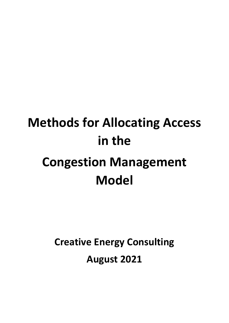# **Methods for Allocating Access in the Congestion Management Model**

**Creative Energy Consulting**

**August 2021**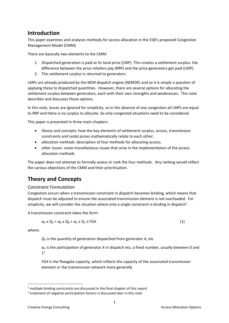# **Introduction**

This paper examines and analyses methods for access allocation in the ESB's proposed Congestion Management Model (CMM)

There are basically two elements to the CMM:

- 1. Dispatched generation is paid at its local price (LMP). This creates a settlement surplus: the difference between the price retailers pay (RRP) and the price generators get paid (LMP)
- 2. This settlement surplus is returned to generators.

LMPs are already produced by the NEM dispatch engine (NEMDE) and so it is simply a question of applying these to dispatched quantities. However, there are several options for allocating the settlement surplus between generators, each with their own strengths and weaknesses. This note describes and discusses those options.

In this note, losses are ignored for simplicity, so in the absence of any congestion all LMPs are equal to RRP and there is no surplus to allocate. So only congested situations need to be considered.

This paper is presented in three main chapters:

- *theory and concepts*: how the key elements of settlement surplus, access, transmission constraints and nodal prices mathematically relate to each other;
- *allocation methods*: description of four methods for allocating access;
- *other issue*s: some miscellaneous issues that arise in the implementation of the access allocation methods

The paper does not attempt to formally assess or rank the four methods. Any ranking would reflect the various objectives of the CMM and their prioritisation.

# **Theory and Concepts**

# *Constraint Formulation*

Congestion occurs when a transmission constraint in dispatch becomes binding, which means that dispatch must be adjusted to ensure the associated transmission element is not overloaded. For simplicity, we will consider the situation where only a single constraint is binding in dispatch<sup>1</sup>.

A transmission constraint takes the form:

$$
\alpha_A \times Q_A + \alpha_B \times Q_B + \alpha_C \times Q_C \leq FGX \tag{1}
$$

where:

*Q<sup>A</sup>* is the quantity of generation dispatched from generator *A,* etc

*α<sup>A</sup>* is the *participation* of generator *A* in dispatch etc; a fixed number, usually between 0 and  $1<sup>2</sup>$ 

*FGX* is the flowgate capacity, which reflects the capacity of the associated transmission element or the transmission network more generally

 $1$  multiple binding constraints are discussed in the final chapter of this report

 $2$  treatment of negative participation factors is discussed later in this note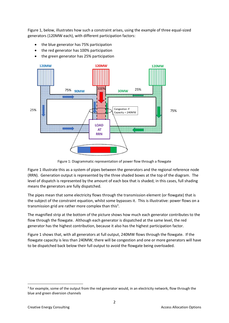Figure 1, below, illustrates how such a constraint arises, using the example of three equal-sized generators (120MW each), with different participation factors:

- the blue generator has 75% participation
- the red generator has 100% participation
- the green generator has 25% participation



Figure 1: Diagrammatic representation of power flow through a flowgate

Figure 1 illustrate this as a system of pipes between the generators and the regional reference node (RRN). Generation output is represented by the three shaded boxes at the top of the diagram. The level of dispatch is represented by the amount of each box that is shaded; in this cases, full shading means the generators are fully dispatched.

The pipes mean that some electricity flows through the transmission element (or flowgate) that is the subject of the constraint equation, whilst some bypasses it. This is illustrative: power flows on a transmission grid are rather more complex than this<sup>3</sup>.

The magnified strip at the bottom of the picture shows how much each generator contributes to the flow through the flowgate. Although each generator is dispatched at the same level, the red generator has the highest contribution, because it also has the highest participation factor.

Figure 1 shows that, with all generators at full output, 240MW flows through the flowgate. If the flowgate capacity is less than 240MW, there will be congestion and one or more generators will have to be dispatched back below their full output to avoid the flowgate being overloaded.

<sup>&</sup>lt;sup>3</sup> for example, some of the output from the red generator would, in an electricity network, flow through the blue and green diversion channels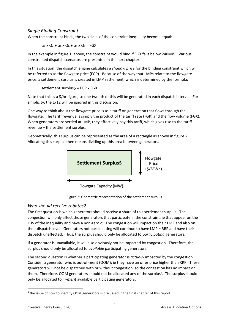# *Single Binding Constraint*

When the constraint binds, the two sides of the constraint inequality become equal:

 $\alpha_A$  x  $Q_A$  +  $\alpha_B$  x  $Q_B$  +  $\alpha_C$  x  $Q_C$  = FGX

In the example in figure 1, above, the constraint would bind if FGX falls below 240MW. Various constrained dispatch scenarios are presented in the next chapter.

In this situation, the dispatch engine calculates a *shadow price* for the binding constraint which will be referred to as the flowgate price (FGP). Because of the way that LMPs relate to the flowgate price, a settlement surplus is created in LMP settlement, which is determined by the formula:

settlement surplus\$ = FGP x FGX

Note that this is a \$/hr figure, so one twelfth of this will be generated in each dispatch interval. For simplicity, the 1/12 will be ignored in this discussion.

One way to think about the flowgate price is as a tariff on generation that flows through the flowgate. The tariff revenue is simply the product of the tariff rate (FGP) and the flow volume (FGX). When generators are settled at LMP, they effectively pay this tariff, which gives rise to the tariff revenue – the settlement surplus.

Geometrically, this surplus can be represented as the area of a rectangle as shown in figure 2. Allocating this surplus then means dividing up this area between generators.



Figure 2: Geometric representation of the settlement surplus

# *Who should receive rebates?*

The first question is which generators should receive a share of this settlement surplus. The congestion will only affect those generators that participate in the constraint: ie that appear on the LHS of the inequality and have a non-zero  $\alpha$ . The congestion will impact on their LMP and also on their dispatch level. Generators not participating will continue to have LMP = RRP and have their dispatch unaffected. Thus, the surplus should only be allocated to *participating* generators.

If a generator is unavailable, it will also obviously not be impacted by congestion. Therefore, the surplus should only be allocated to *available* participating generators.

The second question is whether a participating generator is *actually* impacted by the congestion. Consider a generator who is out-of-merit (OOM): ie they have an offer price higher than RRP. These generators will not be dispatched with or without congestion, so the congestion has no impact on them. Therefore, OOM generators should not be allocated any of the surplus<sup>4</sup>. The surplus should only be allocated to *in-merit* available participating generators.

<sup>&</sup>lt;sup>4</sup> the issue of how to identify OOM generators is discussed in the final chapter of this report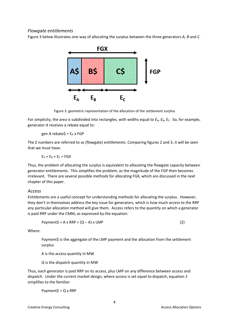#### *Flowgate entitlements*

Figure 3 below illustrates one way of allocating the surplus between the three generators *A, B* and *C.* 



Figure 3: geometric representation of the allocation of the settlement surplus

For simplicity, the area is subdivided into rectangles, with widths equal to  $E_A$ ,  $E_B$ ,  $E_C$ . So, for example, generator *A* receives a rebate equal to:

gen A rebate $$ = E_A \times FGP$ 

The *E* numbers are referred to as (flowgate) *entitlements*. Comparing figures 2 and 3, it will be seen that we must have:

 $E_A + E_B + E_C = FGX$ 

Thus, the problem of allocating the surplus is equivalent to allocating the flowgate capacity between generator entitlements. This simplifies the problem, as the magnitude of the FGP then becomes irrelevant. There are several possible methods for allocating FGX, which are discussed in the next chapter of this paper.

#### *Access*

Entitlements are a useful concept for understanding methods for allocating the surplus. However, they don't in themselves address the key issue for generators, which is how much *access* to the RRP any particular allocation method will give them. Access refers to the quantity on which a generator is paid RRP under the CMM, as expressed by the equation:

$$
Payment\zeta = A \times RRP + (Q - A) \times LMP
$$
 (2)

Where:

Payment\$ is the aggregate of the LMP payment and the allocation from the settlement surplus

A is the access quantity in MW

Q is the dispatch quantity in MW

Thus, each generator is paid RRP on its access, plus LMP on any difference between access and dispatch. Under the current market design, where access is set *equal* to dispatch, equation 2 simplifies to the familiar:

Payment $$ = Q \times RRP$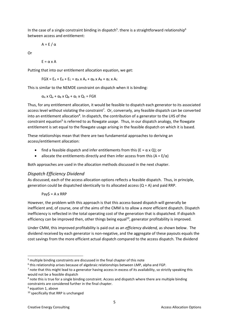In the case of a single constraint binding in dispatch<sup>5</sup>. there is a straightforward relationship<sup>6</sup> between access and entitlement:

$$
A = E / \alpha
$$

Or

 $F = \alpha \times A$ 

Putting that into our entitlement allocation equation, we get:

$$
FGX = E_A + E_B + E_C = \alpha_A \times A_a + \alpha_B \times A_B + \alpha_C \times A_C
$$

This is similar to the NEMDE constraint on dispatch when it is binding:

 $\alpha_A$  x  $Q_a$  +  $\alpha_B$  x  $Q_B$  +  $\alpha_C$  x  $Q_C$  = FGX

Thus, for any entitlement allocation, it would be feasible to dispatch each generator to its associated access level without violating the constraint<sup>7</sup>. Or, conversely, any feasible dispatch can be converted into an entitlement allocation<sup>8</sup>. In dispatch, the contribution of a generator to the LHS of the constraint equation<sup>9</sup> is referred to as flowgate *usage*. Thus, in our dispatch analogy, the flowgate entitlement is set equal to the flowgate usage arising in the feasible dispatch on which it is based.

These relationships mean that there are two fundamental approaches to deriving an access/entitlement allocation:

- find a feasible dispatch and infer entitlements from this ( $E = \alpha \times Q$ ); or
- allocate the entitlements directly and then infer access from this  $(A = E/\alpha)$

Both approaches are used in the allocation methods discussed in the next chapter.

# *Dispatch Efficiency Dividend*

As discussed, each of the access allocation options reflects a feasible dispatch. Thus, in principle, generation could be dispatched identically to its allocated access  $(Q = A)$  and paid RRP.

 $Pay$ = A x RRP$ 

However, the problem with this approach is that this access-based dispatch will generally be inefficient and, of course, one of the aims of the CMM is to allow a *more* efficient dispatch. Dispatch inefficiency is reflected in the total operating cost of the generation that is dispatched. If dispatch efficiency can be improved then, other things being equal<sup>10</sup>, generator profitability is improved.

Under CMM, this improved profitability is paid out as an *efficiency dividend,* as shown below. The dividend received by each generator is non-negative, and the aggregate of these payouts equals the cost savings from the more efficient actual dispatch compared to the access dispatch. The dividend

<sup>&</sup>lt;sup>5</sup> multiple binding constraints are discussed in the final chapter of this note

<sup>&</sup>lt;sup>6</sup> this relationship arises because of algebraic relationships between LMP, alpha and FGP.

 $<sup>7</sup>$  note that this might lead to a generator having access in excess of its availability, so strictly speaking this</sup> would not be a feasible dispatch

 $8$  note this is true for a single binding constraint. Access and dispatch where there are multiple binding constraints are considered further in the final chapter.

 $9$  equation 1, above

<sup>&</sup>lt;sup>10</sup> specifically that RRP is unchanged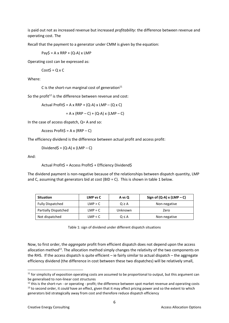is paid out not as increased revenue but increased *profitability*: the difference between revenue and operating cost. The

Recall that the payment to a generator under CMM is given by the equation:

 $Pay$ = A \times RRP + (Q-A) \times LMP$ 

Operating cost can be expressed as:

 $CostS = Q \times C$ 

Where:

C is the short-run marginal cost of generation $11$ 

So the profit<sup>12</sup> is the difference between revenue and cost:

Actual Profit\$ = A x RRP + (Q-A) x LMP – (Q x C)

 $= A x (RRP - C) + (Q-A) x (LMP - C)$ 

In the case of access dispatch, Q= A and so:

Access Profit $\zeta$  = A x (RRP – C)

The efficiency dividend is the difference between actual profit and access profit:

Dividend $$ = (Q-A) \times (LMP - C)$ 

And:

Actual Profit\$ = Access Profit\$ + Efficiency Dividend\$

The dividend payment is non-negative because of the relationships between dispatch quantity, LMP and C, assuming that generators bid at cost (BID = C). This is shown in table 1 below.

| <b>Situation</b>            | LMP vs C  | A vs Q     | Sign of $(Q-A)$ x $(LMP - C)$ |
|-----------------------------|-----------|------------|-------------------------------|
| <b>Fully Dispatched</b>     | LMP > C   | $Q \geq A$ | Non-negative                  |
| <b>Partially Dispatched</b> | $LMP = C$ | Unknown    | Zero                          |
| Not dispatched              | LMP < C   | Q≤A        | Non-negative                  |

Table 1: sign of dividend under different dispatch situations

Now, to first order, the *aggregate* profit from efficient dispatch does not depend upon the access allocation method<sup>13</sup>. The allocation method simply changes the relativity of the two components on the RHS. If the access dispatch is quite efficient – ie fairly similar to actual dispatch – the aggregate efficiency dividend (the difference in cost between these two dispatches) will be relatively small,

 $11$  for simplicity of exposition operating costs are assumed to be proportional to output, but this argument can be generalised to non-linear cost structures

 $12$  this is the short-run - or operating - profit; the difference between spot market revenue and operating costs <sup>13</sup> to second order, it *could* have an effect, given that it may affect pricing power and so the extent to which generators bid strategically away from cost and therefore reduce dispatch efficiency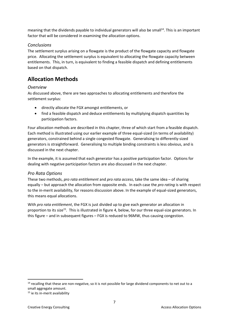meaning that the dividends payable to individual generators will also be small<sup>14</sup>. This is an important factor that will be considered in examining the allocation options.

### *Conclusions*

The settlement surplus arising on a flowgate is the product of the flowgate capacity and flowgate price. Allocating the settlement surplus is equivalent to allocating the flowgate capacity between entitlements. This, in turn, is equivalent to finding a feasible dispatch and defining entitlements based on that dispatch.

# **Allocation Methods**

#### *Overview*

As discussed above, there are two approaches to allocating entitlements and therefore the settlement surplus:

- directly allocate the FGX amongst entitlements, or
- find a feasible dispatch and deduce entitlements by multiplying dispatch quantities by participation factors.

Four allocation methods are described in this chapter, three of which start from a feasible dispatch. Each method is illustrated using our earlier example of three equal-sized (in terms of availability) generators, constrained behind a single congested flowgate. Generalising to differently-sized generators is straightforward. Generalising to multiple binding constraints is less obvious, and is discussed in the next chapter.

In the example, it is assumed that each generator has a positive participation factor. Options for dealing with negative participation factors are also discussed in the next chapter.

# *Pro Rata Options*

These two methods, *pro rata entitlement* and *pro rata access*, take the same idea – of sharing equally – but approach the allocation from opposite ends. In each case the *pro rating* is with respect to the in-merit availability, for reasons discussion above. In the example of equal-sized generators, this means equal allocations.

With *pro rata entitlement*, the FGX is just divided up to give each generator an allocation in proportion to its size<sup>15</sup>. This is illustrated in figure 4, below, for our three equal-size generators. In this figure – and in subsequent figures – FGX is reduced to 96MW, thus causing congestion.

<sup>&</sup>lt;sup>14</sup> recalling that these are non-negative, so it is not possible for large dividend components to net out to a small aggregate amount.

<sup>&</sup>lt;sup>15</sup> ie its in-merit availability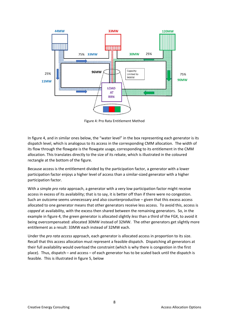

Figure 4: Pro Rata Entitlement Method

In figure 4, and in similar ones below, the "water level" in the box representing each generator is its dispatch level, which is analogous to its access in the corresponding CMM allocation. The width of its flow through the flowgate is the flowgate usage, corresponding to its entitlement in the CMM allocation. This translates directly to the size of its rebate, which is illustrated in the coloured rectangle at the bottom of the figure.

Because access is the entitlement divided by the participation factor, a generator with a lower participation factor enjoys a higher level of access than a similar-sized generator with a higher participation factor.

With a simple *pro rata* approach, a generator with a very low participation factor might receive access in excess of its availability; that is to say, it is better off than if there were no congestion. Such an outcome seems unnecessary and also counterproductive – given that this excess access allocated to one generator means that other generators receive less access. To avoid this, access is *capped* at availability, with the excess then shared between the remaining generators. So, in the example in figure 4, the green generator is allocated slightly *less* than a third of the FGX, to avoid it being overcompensated: allocated 30MW instead of 32MW. The other generators get slightly more entitlement as a result: 33MW each instead of 32MW each.

Under the *pro rata access* approach, each generator is allocated access in proportion to its size. Recall that this access allocation must represent a feasible dispatch. Dispatching all generators at their full availability would overload the constraint (which is why there is congestion in the first place). Thus, dispatch – and access – of each generator has to be scaled back until the dispatch is feasible. This is illustrated in figure 5, below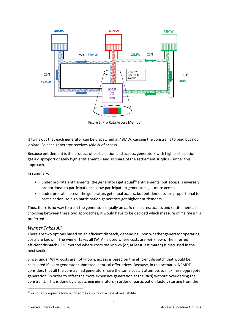

Figure 5: Pro Rata Access Method

It turns out that each generator can be dispatched at 48MW, causing the constraint to bind but not violate. So each generator receives 48MW of access.

Because entitlement is the product of participation and access, generators with high participation get a disproportionately high entitlement – and so share of the settlement surplus – under this approach.

In summary:

- $\bullet$  under pro rata entitlements, the generators get equal<sup>16</sup> entitlements, but access is inversely proportional to participation; so low participation generators get more access.
- under pro rata access, the generators get equal access, but entitlements are proportional to participation, so high participation generators get higher entitlements.

Thus, there is no way to treat the generators equally on *both* measures: access and entitlements. In choosing between these two approaches, it would have to be decided which measure of "fairness" is preferred.

# *Winner Takes All*

There are two options based on an efficient dispatch, depending upon whether generator operating costs are known. The winner takes all (WTA) is used where costs are *not* known. The inferred efficient dispatch (IED) method where costs *are* known (or, at least, estimated) is discussed in the next section.

Since, under WTA, costs are not known, access is based on the efficient dispatch that would be calculated if every generator submitted identical offer prices. Because, in this scenario, NEMDE considers that all the constrained generators have the same cost, it attempts to maximise *aggregate* generation (in order to offset the more expensive generation at the RRN) without overloading the constraint. This is done by dispatching generators in order of participation factor, starting from the

<sup>&</sup>lt;sup>16</sup> or roughly equal, allowing for some capping of access at availability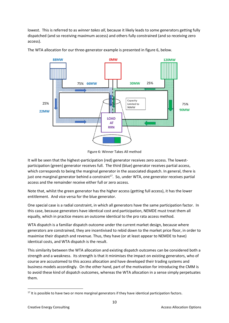lowest. This is referred to as *winner takes all*, because it likely leads to some generators getting fully dispatched (and so receiving maximum access) and others fully constrained (and so receiving zero access).



The WTA allocation for our three-generator example is presented in figure 6, below.

Figure 6: Winner Takes All method

It will be seen that the highest-participation (red) generator receives zero access. The lowestparticipation (green) generator receives full. The third (blue) generator receives partial access, which corresponds to being the marginal generator in the associated dispatch. In general, there is just one marginal generator behind a constraint<sup>17</sup>. So, under WTA, one generator receives partial access and the remainder receive either full or zero access.

Note that, whilst the green generator has the higher access (getting full access), it has the lower entitlement. And vice versa for the blue generator.

One special case is a radial constraint, in which all generators have the same participation factor. In this case, because generators have identical cost and participation, NEMDE must treat them all equally, which in practice means an outcome identical to the pro rata access method.

WTA dispatch is a familiar dispatch outcome under the current market design, because where generators are constrained, they are incentivised to rebid down to the market price floor, in order to maximise their dispatch and revenue. Thus, they have (or at least appear to NEMDE to have) identical costs, and WTA dispatch is the result.

This similarity between the WTA allocation and existing dispatch outcomes can be considered both a strength and a weakness. Its strength is that it minimises the impact on existing generators, who of course are accustomed to this access allocation and have developed their trading systems and business models accordingly. On the other hand, part of the motivation for introducing the CMM is to avoid these kind of dispatch outcomes, whereas the WTA allocation in a sense simply perpetuates them.

<sup>&</sup>lt;sup>17</sup> It is possible to have two or more marginal generators if they have identical participation factors.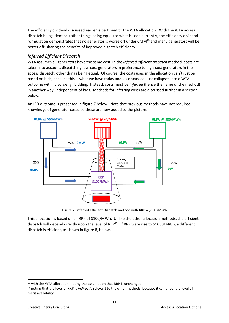The efficiency dividend discussed earlier is pertinent to the WTA allocation. With the WTA access dispatch being identical (other things being equal) to what is seen currently, the efficiency dividend formulation demonstrates that no generator is worse off under CMM<sup>18</sup> and many generators will be better off: sharing the benefits of improved dispatch efficiency.

# *Inferred Efficient Dispatch*

WTA assumes all generators have the same cost. In the *inferred efficient dispatch* method, costs are taken into account, dispatching low-cost generators in preference to high-cost generators in the access dispatch, other things being equal. Of course, the costs used in the allocation can't just be based on bids, because this is what we have today and, as discussed, just collapses into a WTA outcome with "disorderly" bidding. Instead, costs must be *inferred* (hence the name of the method) in another way, independent of bids. Methods for inferring costs are discussed further in a section below.

An IED outcome is presented in figure 7 below. Note that previous methods have not required knowledge of generator costs, so these are now added to the picture.



Figure 7: Inferred Efficient Dispatch method with RRP = \$100/MWh

This allocation is based on an RRP of \$100/MWh. Unlike the other allocation methods, the efficient dispatch will depend directly upon the level of RRP<sup>19</sup>. If RRP were rise to \$1000/MWh, a different dispatch is efficient, as shown in figure 8, below.

<sup>&</sup>lt;sup>18</sup> with the WTA allocation; noting the assumption that RRP is unchanged.

<sup>19</sup> noting that the level of RRP is *indirectly* relevant to the other methods, because it can affect the level of inmerit availability.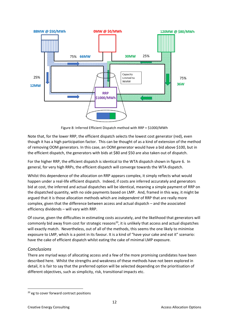

Figure 8: Inferred Efficient Dispatch method with RRP = \$1000/MWh

Note that, for the lower RRP, the efficient dispatch selects the lowest cost generator (red), even though it has a high participation factor. This can be thought of as a kind of extension of the method of removing OOM generators. In this case, an OOM generator would have a bid above \$100, but in the efficient dispatch, the generators with bids at \$80 and \$50 are also taken out of dispatch.

For the higher RRP, the efficient dispatch is identical to the WTA dispatch shown in figure 6. In general, for very high RRPs, the efficient dispatch will converge towards the WTA dispatch.

Whilst this dependence of the allocation on RRP appears complex, it simply reflects what would happen under a real-life efficient dispatch. Indeed, if costs are inferred accurately and generators bid at cost, the inferred and actual dispatches will be identical, meaning a simple payment of RRP on the dispatched quantity, with no side payments based on LMP. And, framed in this way, it might be argued that it is those allocation methods which are *independent* of RRP that are really more complex, given that the difference between access and actual dispatch – and the associated efficiency dividends – will vary with RRP.

Of course, given the difficulties in estimating costs accurately, and the likelihood that generators will commonly bid away from cost for strategic reasons<sup>20</sup>, it is unlikely that access and actual dispatches will exactly match. Nevertheless, out of all of the methods, this seems the one likely to minimise exposure to LMP, which is a point in its favour. It is a kind of "have your cake and eat it" scenario: have the cake of efficient dispatch whilst eating the cake of minimal LMP exposure.

# *Conclusions*

There are myriad ways of allocating access and a few of the more promising candidates have been described here. Whilst the strengths and weakness of these methods have not been explored in detail, it is fair to say that the preferred option will be selected depending on the prioritisation of different objectives, such as simplicity, risk, transitional impacts etc.

<sup>&</sup>lt;sup>20</sup> eg to cover forward contract positions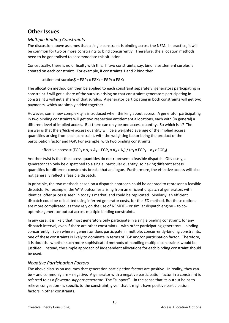# **Other Issues**

# *Multiple Binding Constraints*

The discussion above assumes that a single constraint is binding across the NEM. In practice, it will be common for two or more constraints to bind concurrently. Therefore, the allocation methods need to be generalised to accommodate this situation.

Conceptually, there is no difficulty with this. If two constraints, say, bind, a settlement surplus is created on each constraint. For example, if constraints 1 and 2 bind then:

settlement surplus\$ =  $FGP_1$  x  $FGX_1$  +  $FGP_2$  x  $FGX_2$ 

The allocation method can then be applied to each constraint separately: generators participating in constraint *1* will get a share of the surplus arising on that constraint; generators participating in constraint *2* will get a share of that surplus. A generator participating in both constraints will get two payments, which are simply added together.

However, some new complexity is introduced when thinking about access. A generator participating in two binding constraints will get two respective entitlement allocations, each with (in general) a different level of implied access. But there can only be one access quantity. So which is it? The answer is that the *effective* access quantity will be a weighted average of the implied access quantities arising from each constraint, with the weighting factor being the product of the participation factor and FGP. For example, with two binding constraints:

effective access = (FGP<sub>1</sub> x  $\alpha_1$  x A<sub>1</sub> + FGP<sub>2</sub> x  $\alpha_2$  x A<sub>2</sub>) / ( $\alpha_1$  x FGP<sub>1</sub> +  $\alpha_2$  x FGP<sub>2</sub>)

Another twist is that the access quantities do not represent a feasible dispatch. Obviously, a generator can only be dispatched to a single, particular quantity, so having different access quantities for different constraints breaks that analogue. Furthermore, the effective access will also not generally reflect a feasible dispatch.

In principle, the two methods based on a dispatch approach could be adapted to represent a feasible dispatch. For example, the WTA outcomes arising from an efficient dispatch of generators with identical offer prices is seen in today's market, and could be replicated. Similarly, an efficient dispatch could be calculated using inferred generator costs, for the IED method. But these options are more complicated, as they rely on the use of NEMDE – or similar dispatch engine – to cooptimise generator output across multiple binding constraints.

In any case, it is likely that most generators only participate in a single binding constraint, for any dispatch interval, even if there are other constraints – with *other* participating generators – binding concurrently. Even where a generator does participate in multiple, concurrently-binding constraints, one of these constraints is likely to dominate in terms of FGP and/or participation factor. Therefore, it is doubtful whether such more sophisticated methods of handling multiple constraints would be justified. Instead, the simple approach of independent allocations for each binding constraint should be used.

# *Negative Participation Factors*

The above discussion assumes that generation participation factors are positive. In reality, they can be – and commonly are – negative. A generator with a negative participation factor in a constraint is referred to as a *flowgate support generator*. The "support" – in the sense that its output helps to relieve congestion - is specific to the constraint, given that it might have positive participation factors in other constraints.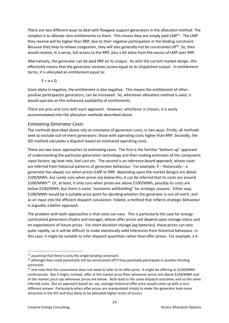There are two different ways to deal with flowgate support generators in the allocation method. The simplest is to allocate zero entitlements to them. This means they are simply paid LMP<sup>21</sup>. The LMP they receive will be higher than RRP, due to their negative participation in the binding constraint. Because they help to relieve congestion, they will also generally not be constrained off<sup>22</sup>. So, they would receive, in a sense, full access to the RRP, plus a bit extra from the excess of LMP over RRP.

Alternatively, the generator can be paid RRP on its output. As with the current market design, this effectively means that the generator receives access equal to its dispatched output. In entitlement terms, it is allocated an entitlement equal to:

$$
E = \alpha \times Q
$$

Since alpha is negative, the entitlement is also negative. This means the entitlement of other, positive participation generators, can be increased. So, whichever allocation method is used, it would operate on this enhanced availability of entitlements.

There are pros and cons with each approach. However, whichever is chosen, it is easily accommodated into the allocation methods described above

# *Estimating Generator Costs*

The methods described above rely on estimates of generator costs, in two ways. Firstly, all methods seek to exclude out-of-merit generators: those with operating costs higher than RRP. Secondly, the IED method calculates a dispatch based on estimated operating costs.

There are two basic approaches to estimating costs. The first is the familiar "bottom up" approach of understanding the particular generation technology and then making estimates of the component input factors: eg heat rate, fuel cost etc. The second is an *inference-based* approach, where costs are inferred from historical patterns of generator behaviour. For example, if – historically – a generator has always run when prices (LMP or RRP, depending upon the market design) are above \$100/MWh, but rarely runs when prices are below this, it can be inferred that its costs are around \$100/MWh<sup>23</sup>. Or, at least, it only runs when prices are above \$100/MWh; possibly its costs are below \$100/MWh, but there is some "economic withholding" for strategic reasons. Either way, \$100/MWh would be a suitable price point for deciding whether the generator is out-of-merit, and as an input into the efficient dispatch calculation. Indeed, a method that reflects strategic behaviour is arguably a better approach.

The problem with both approaches is that costs can vary. This is particularly the case for energyconstrained generators (hydro and storage), whose offer prices will depend upon storage status and on expectations of future prices. For short-duration storage (eg batteries), these prices can vary quite rapidly, so it will be difficult to make statistically valid inferences from historical behaviour. In this case, it might be suitable to infer dispatch quantities rather than offer prices. For example, a 4-

 $21$  assuming that there is only the single binding constraint

<sup>&</sup>lt;sup>22</sup> although they could potentially still be constrained off if they positively participate in another binding constraint

<sup>&</sup>lt;sup>23</sup> and note that this assessment does not need to refer to its offer price. It might be offering at \$100/MWh continuously. But it might, instead, offer at the market price floor whenever prices are above \$100/MWh and at the market price cap whenever prices are below. Both lead to the same dispatch outcomes and so the same inferred costs. But an approach based on, say, average historical offer price would come up with a very different answer. Particularly when offer prices are manipulated simply to make the generator look more attractive in the IED and thus likely to be allocated higher levels of access.